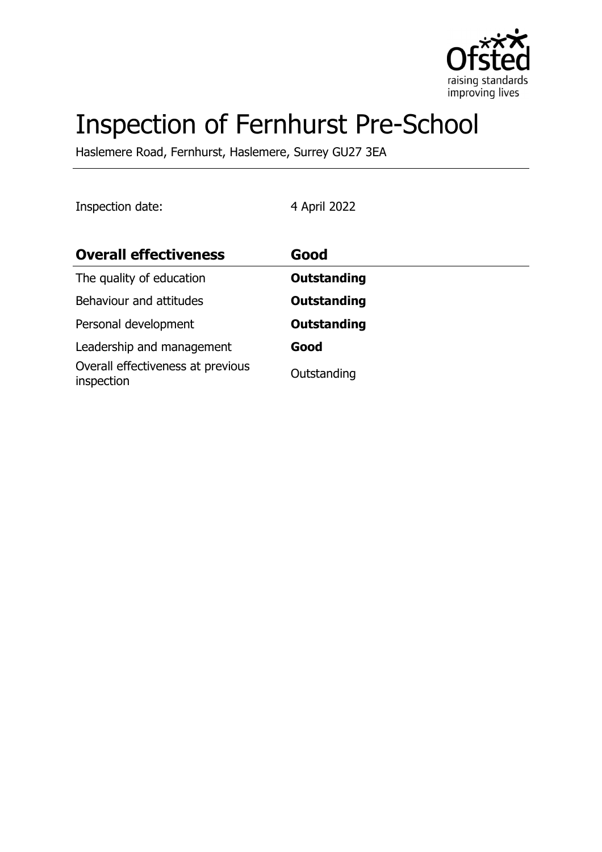

# Inspection of Fernhurst Pre-School

Haslemere Road, Fernhurst, Haslemere, Surrey GU27 3EA

Inspection date: 4 April 2022

| <b>Overall effectiveness</b>                    | Good               |
|-------------------------------------------------|--------------------|
| The quality of education                        | <b>Outstanding</b> |
| Behaviour and attitudes                         | <b>Outstanding</b> |
| Personal development                            | <b>Outstanding</b> |
| Leadership and management                       | Good               |
| Overall effectiveness at previous<br>inspection | Outstanding        |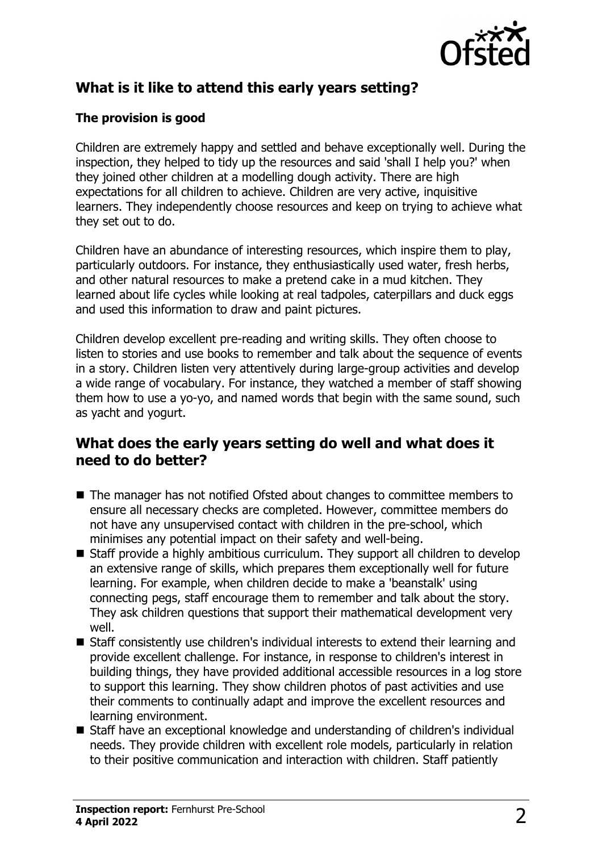

## **What is it like to attend this early years setting?**

### **The provision is good**

Children are extremely happy and settled and behave exceptionally well. During the inspection, they helped to tidy up the resources and said 'shall I help you?' when they joined other children at a modelling dough activity. There are high expectations for all children to achieve. Children are very active, inquisitive learners. They independently choose resources and keep on trying to achieve what they set out to do.

Children have an abundance of interesting resources, which inspire them to play, particularly outdoors. For instance, they enthusiastically used water, fresh herbs, and other natural resources to make a pretend cake in a mud kitchen. They learned about life cycles while looking at real tadpoles, caterpillars and duck eggs and used this information to draw and paint pictures.

Children develop excellent pre-reading and writing skills. They often choose to listen to stories and use books to remember and talk about the sequence of events in a story. Children listen very attentively during large-group activities and develop a wide range of vocabulary. For instance, they watched a member of staff showing them how to use a yo-yo, and named words that begin with the same sound, such as yacht and yogurt.

## **What does the early years setting do well and what does it need to do better?**

- The manager has not notified Ofsted about changes to committee members to ensure all necessary checks are completed. However, committee members do not have any unsupervised contact with children in the pre-school, which minimises any potential impact on their safety and well-being.
- $\blacksquare$  Staff provide a highly ambitious curriculum. They support all children to develop an extensive range of skills, which prepares them exceptionally well for future learning. For example, when children decide to make a 'beanstalk' using connecting pegs, staff encourage them to remember and talk about the story. They ask children questions that support their mathematical development very well.
- $\blacksquare$  Staff consistently use children's individual interests to extend their learning and provide excellent challenge. For instance, in response to children's interest in building things, they have provided additional accessible resources in a log store to support this learning. They show children photos of past activities and use their comments to continually adapt and improve the excellent resources and learning environment.
- Staff have an exceptional knowledge and understanding of children's individual needs. They provide children with excellent role models, particularly in relation to their positive communication and interaction with children. Staff patiently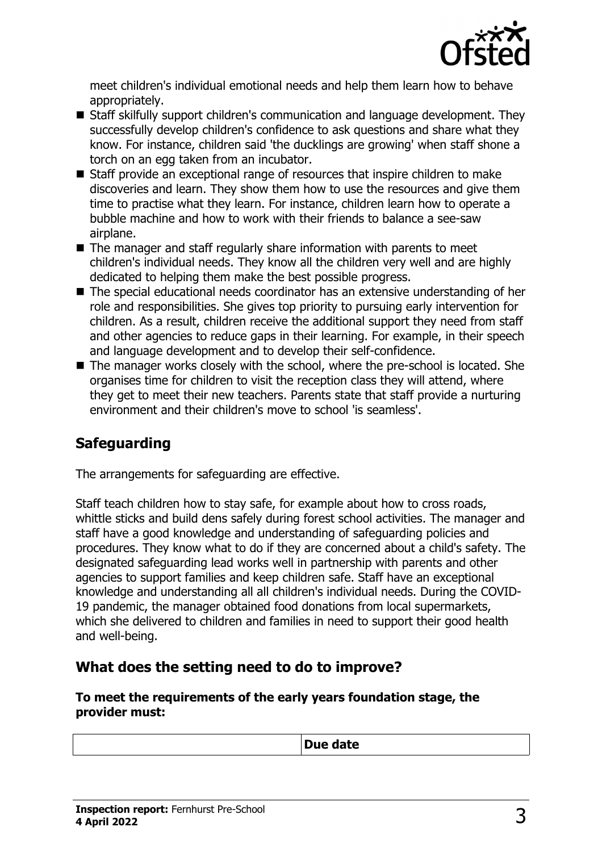

meet children's individual emotional needs and help them learn how to behave appropriately.

- Staff skilfully support children's communication and language development. They successfully develop children's confidence to ask questions and share what they know. For instance, children said 'the ducklings are growing' when staff shone a torch on an egg taken from an incubator.
- $\blacksquare$  Staff provide an exceptional range of resources that inspire children to make discoveries and learn. They show them how to use the resources and give them time to practise what they learn. For instance, children learn how to operate a bubble machine and how to work with their friends to balance a see-saw airplane.
- $\blacksquare$  The manager and staff regularly share information with parents to meet children's individual needs. They know all the children very well and are highly dedicated to helping them make the best possible progress.
- The special educational needs coordinator has an extensive understanding of her role and responsibilities. She gives top priority to pursuing early intervention for children. As a result, children receive the additional support they need from staff and other agencies to reduce gaps in their learning. For example, in their speech and language development and to develop their self-confidence.
- $\blacksquare$  The manager works closely with the school, where the pre-school is located. She organises time for children to visit the reception class they will attend, where they get to meet their new teachers. Parents state that staff provide a nurturing environment and their children's move to school 'is seamless'.

## **Safeguarding**

The arrangements for safeguarding are effective.

Staff teach children how to stay safe, for example about how to cross roads, whittle sticks and build dens safely during forest school activities. The manager and staff have a good knowledge and understanding of safeguarding policies and procedures. They know what to do if they are concerned about a child's safety. The designated safeguarding lead works well in partnership with parents and other agencies to support families and keep children safe. Staff have an exceptional knowledge and understanding all all children's individual needs. During the COVID-19 pandemic, the manager obtained food donations from local supermarkets, which she delivered to children and families in need to support their good health and well-being.

## **What does the setting need to do to improve?**

#### **To meet the requirements of the early years foundation stage, the provider must:**

| Due date |
|----------|
|          |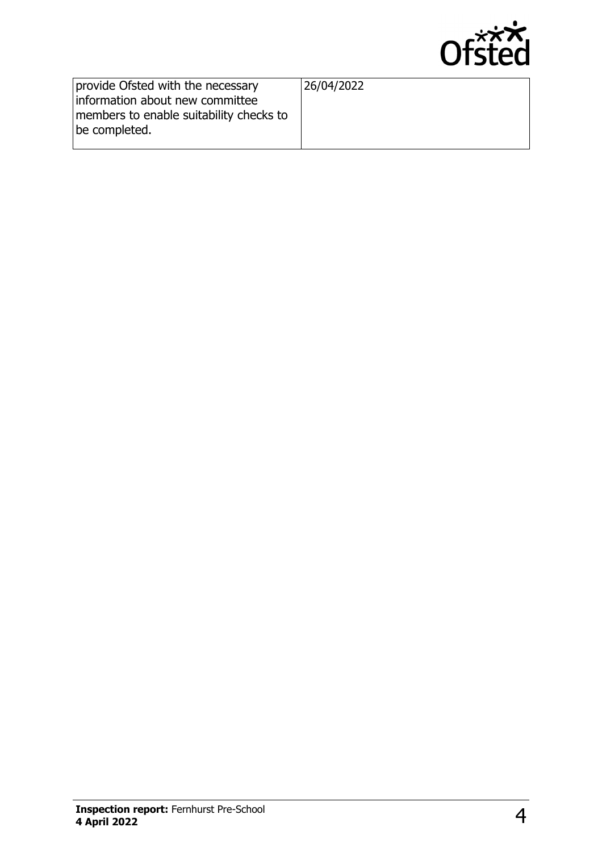

|                                                                                                                                  | ------     |
|----------------------------------------------------------------------------------------------------------------------------------|------------|
| provide Ofsted with the necessary<br>information about new committee<br>members to enable suitability checks to<br>be completed. | 26/04/2022 |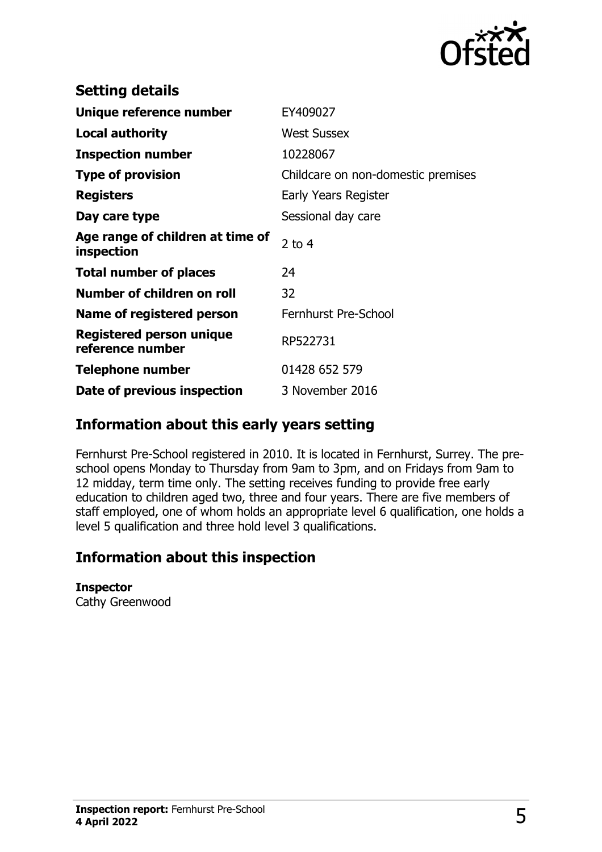

| <b>Setting details</b>                              |                                    |
|-----------------------------------------------------|------------------------------------|
| Unique reference number                             | EY409027                           |
| <b>Local authority</b>                              | <b>West Sussex</b>                 |
| <b>Inspection number</b>                            | 10228067                           |
| <b>Type of provision</b>                            | Childcare on non-domestic premises |
| <b>Registers</b>                                    | Early Years Register               |
| Day care type                                       | Sessional day care                 |
| Age range of children at time of<br>inspection      | 2 to $4$                           |
| <b>Total number of places</b>                       | 24                                 |
| Number of children on roll                          | 32                                 |
| Name of registered person                           | Fernhurst Pre-School               |
| <b>Registered person unique</b><br>reference number | RP522731                           |
| Telephone number                                    | 01428 652 579                      |
| Date of previous inspection                         | 3 November 2016                    |

## **Information about this early years setting**

Fernhurst Pre-School registered in 2010. It is located in Fernhurst, Surrey. The preschool opens Monday to Thursday from 9am to 3pm, and on Fridays from 9am to 12 midday, term time only. The setting receives funding to provide free early education to children aged two, three and four years. There are five members of staff employed, one of whom holds an appropriate level 6 qualification, one holds a level 5 qualification and three hold level 3 qualifications.

## **Information about this inspection**

#### **Inspector**

Cathy Greenwood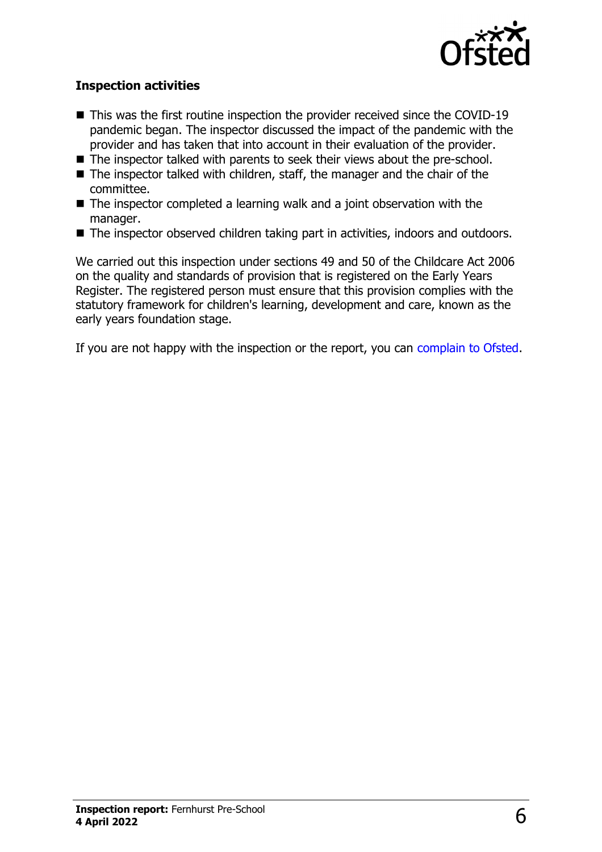

#### **Inspection activities**

- $\blacksquare$  This was the first routine inspection the provider received since the COVID-19 pandemic began. The inspector discussed the impact of the pandemic with the provider and has taken that into account in their evaluation of the provider.
- The inspector talked with parents to seek their views about the pre-school.
- $\blacksquare$  The inspector talked with children, staff, the manager and the chair of the committee.
- $\blacksquare$  The inspector completed a learning walk and a joint observation with the manager.
- The inspector observed children taking part in activities, indoors and outdoors.

We carried out this inspection under sections 49 and 50 of the Childcare Act 2006 on the quality and standards of provision that is registered on the Early Years Register. The registered person must ensure that this provision complies with the statutory framework for children's learning, development and care, known as the early years foundation stage.

If you are not happy with the inspection or the report, you can complain to Ofsted.